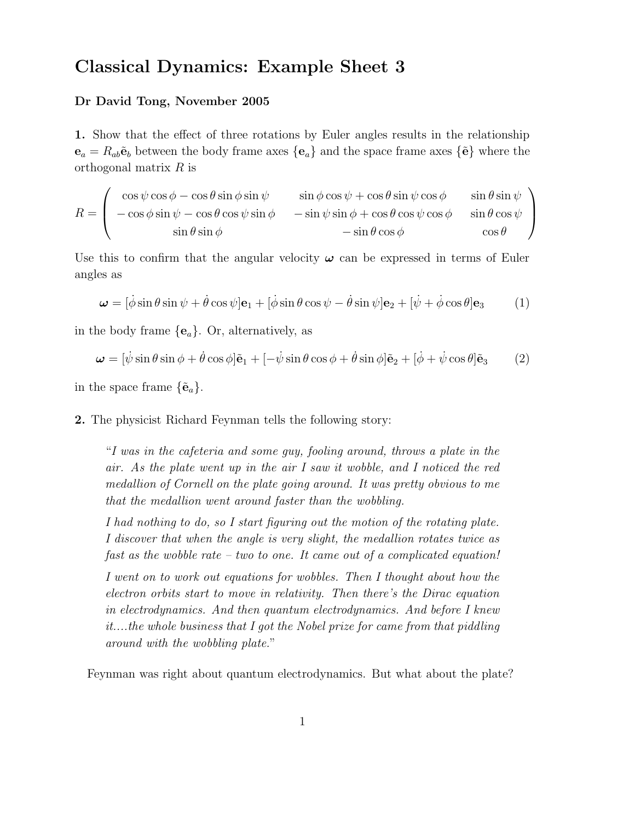## Classical Dynamics: Example Sheet 3

## Dr David Tong, November 2005

1. Show that the effect of three rotations by Euler angles results in the relationship  $e_a = R_{ab} \tilde{e}_b$  between the body frame axes  ${e_a}$  and the space frame axes  ${\tilde{e}}$  where the orthogonal matrix R is

$$
R = \begin{pmatrix} \cos \psi \cos \phi - \cos \theta \sin \phi \sin \psi & \sin \phi \cos \psi + \cos \theta \sin \psi \cos \phi & \sin \theta \sin \psi \\ -\cos \phi \sin \psi - \cos \theta \cos \psi \sin \phi & -\sin \psi \sin \phi + \cos \theta \cos \psi \cos \phi & \sin \theta \cos \psi \\ \sin \theta \sin \phi & -\sin \theta \cos \phi & \cos \theta \end{pmatrix}
$$

Use this to confirm that the angular velocity  $\omega$  can be expressed in terms of Euler angles as

$$
\boldsymbol{\omega} = [\dot{\phi}\sin\theta\sin\psi + \dot{\theta}\cos\psi]\mathbf{e}_1 + [\dot{\phi}\sin\theta\cos\psi - \dot{\theta}\sin\psi]\mathbf{e}_2 + [\dot{\psi} + \dot{\phi}\cos\theta]\mathbf{e}_3 \tag{1}
$$

in the body frame  ${e_a}$ . Or, alternatively, as

$$
\boldsymbol{\omega} = [\dot{\psi}\sin\theta\sin\phi + \dot{\theta}\cos\phi]\tilde{\mathbf{e}}_1 + [-\dot{\psi}\sin\theta\cos\phi + \dot{\theta}\sin\phi]\tilde{\mathbf{e}}_2 + [\dot{\phi} + \dot{\psi}\cos\theta]\tilde{\mathbf{e}}_3 \tag{2}
$$

in the space frame  $\{\tilde{\mathbf{e}}_a\}.$ 

## 2. The physicist Richard Feynman tells the following story:

"I was in the cafeteria and some guy, fooling around, throws a plate in the air. As the plate went up in the air I saw it wobble, and I noticed the red medallion of Cornell on the plate going around. It was pretty obvious to me that the medallion went around faster than the wobbling.

I had nothing to do, so I start figuring out the motion of the rotating plate. I discover that when the angle is very slight, the medallion rotates twice as fast as the wobble rate – two to one. It came out of a complicated equation!

I went on to work out equations for wobbles. Then I thought about how the electron orbits start to move in relativity. Then there's the Dirac equation in electrodynamics. And then quantum electrodynamics. And before I knew it....the whole business that I got the Nobel prize for came from that piddling around with the wobbling plate."

Feynman was right about quantum electrodynamics. But what about the plate?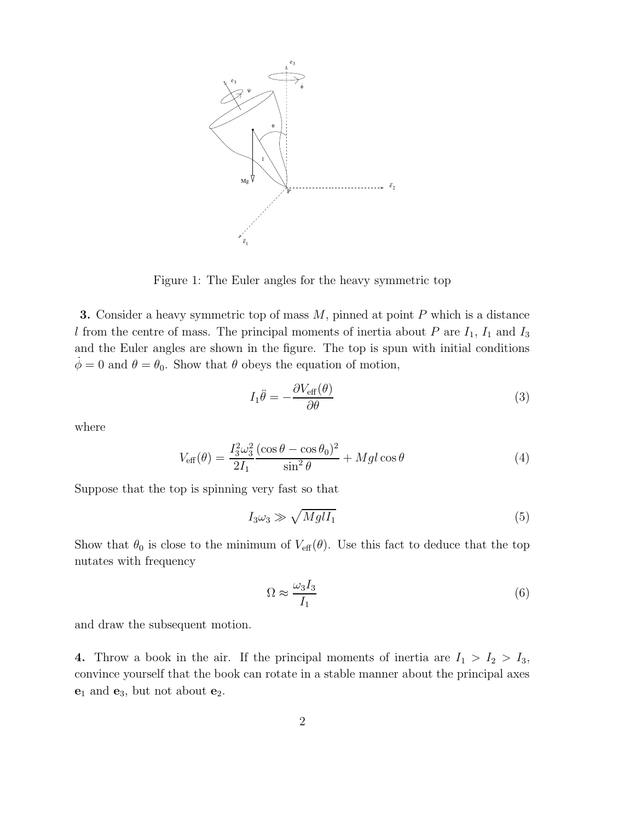

Figure 1: The Euler angles for the heavy symmetric top

**3.** Consider a heavy symmetric top of mass  $M$ , pinned at point  $P$  which is a distance l from the centre of mass. The principal moments of inertia about P are  $I_1$ ,  $I_1$  and  $I_3$ and the Euler angles are shown in the figure. The top is spun with initial conditions  $\dot{\phi} = 0$  and  $\theta = \theta_0$ . Show that  $\theta$  obeys the equation of motion,

$$
I_1 \ddot{\theta} = -\frac{\partial V_{\text{eff}}(\theta)}{\partial \theta} \tag{3}
$$

where

$$
V_{\text{eff}}(\theta) = \frac{I_3^2 \omega_3^2 (\cos \theta - \cos \theta_0)^2}{2I_1 \sin^2 \theta} + Mgl \cos \theta \tag{4}
$$

Suppose that the top is spinning very fast so that

$$
I_3\omega_3 \gg \sqrt{Mgl_1} \tag{5}
$$

Show that  $\theta_0$  is close to the minimum of  $V_{\text{eff}}(\theta)$ . Use this fact to deduce that the top nutates with frequency

$$
\Omega \approx \frac{\omega_3 I_3}{I_1} \tag{6}
$$

and draw the subsequent motion.

4. Throw a book in the air. If the principal moments of inertia are  $I_1 > I_2 > I_3$ , convince yourself that the book can rotate in a stable manner about the principal axes  $\mathbf{e}_1$  and  $\mathbf{e}_3$ , but not about  $\mathbf{e}_2$ .